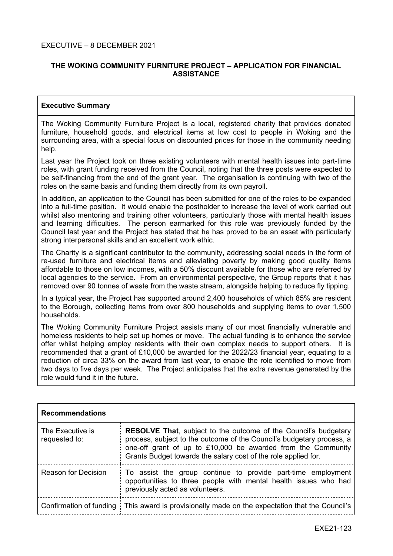## **THE WOKING COMMUNITY FURNITURE PROJECT – APPLICATION FOR FINANCIAL ASSISTANCE**

## **Executive Summary**

The Woking Community Furniture Project is a local, registered charity that provides donated furniture, household goods, and electrical items at low cost to people in Woking and the surrounding area, with a special focus on discounted prices for those in the community needing help.

Last year the Project took on three existing volunteers with mental health issues into part-time roles, with grant funding received from the Council, noting that the three posts were expected to be self-financing from the end of the grant year. The organisation is continuing with two of the roles on the same basis and funding them directly from its own payroll.

In addition, an application to the Council has been submitted for one of the roles to be expanded into a full-time position. It would enable the postholder to increase the level of work carried out whilst also mentoring and training other volunteers, particularly those with mental health issues and learning difficulties. The person earmarked for this role was previously funded by the Council last year and the Project has stated that he has proved to be an asset with particularly strong interpersonal skills and an excellent work ethic.

The Charity is a significant contributor to the community, addressing social needs in the form of re-used furniture and electrical items and alleviating poverty by making good quality items affordable to those on low incomes, with a 50% discount available for those who are referred by local agencies to the service. From an environmental perspective, the Group reports that it has removed over 90 tonnes of waste from the waste stream, alongside helping to reduce fly tipping.

In a typical year, the Project has supported around 2,400 households of which 85% are resident to the Borough, collecting items from over 800 households and supplying items to over 1,500 households.

The Woking Community Furniture Project assists many of our most financially vulnerable and homeless residents to help set up homes or move. The actual funding is to enhance the service offer whilst helping employ residents with their own complex needs to support others. It is recommended that a grant of £10,000 be awarded for the 2022/23 financial year, equating to a reduction of circa 33% on the award from last year, to enable the role identified to move from two days to five days per week. The Project anticipates that the extra revenue generated by the role would fund it in the future.

| <b>Recommendations</b>            |                                                                                                                                                                                                                                                                                   |
|-----------------------------------|-----------------------------------------------------------------------------------------------------------------------------------------------------------------------------------------------------------------------------------------------------------------------------------|
| The Executive is<br>requested to: | <b>RESOLVE That, subject to the outcome of the Council's budgetary</b><br>process, subject to the outcome of the Council's budgetary process, a<br>one-off grant of up to £10,000 be awarded from the Community<br>Grants Budget towards the salary cost of the role applied for. |
| <b>Reason for Decision</b>        | To assist the group continue to provide part-time employment<br>opportunities to three people with mental health issues who had<br>previously acted as volunteers.                                                                                                                |
|                                   | Confirmation of funding   This award is provisionally made on the expectation that the Council's                                                                                                                                                                                  |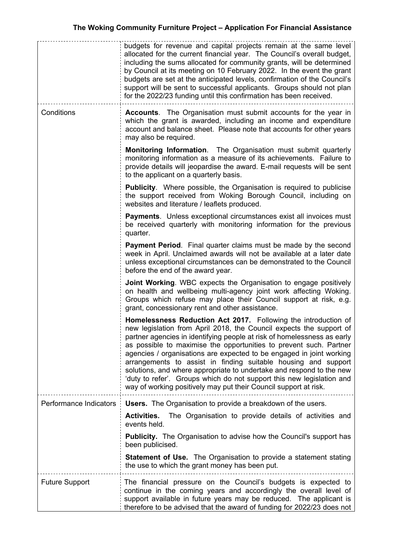|                        | budgets for revenue and capital projects remain at the same level<br>allocated for the current financial year. The Council's overall budget,<br>including the sums allocated for community grants, will be determined<br>by Council at its meeting on 10 February 2022. In the event the grant<br>budgets are set at the anticipated levels, confirmation of the Council's<br>support will be sent to successful applicants. Groups should not plan<br>for the 2022/23 funding until this confirmation has been received.                                                                                                                                    |
|------------------------|--------------------------------------------------------------------------------------------------------------------------------------------------------------------------------------------------------------------------------------------------------------------------------------------------------------------------------------------------------------------------------------------------------------------------------------------------------------------------------------------------------------------------------------------------------------------------------------------------------------------------------------------------------------|
| Conditions             | <b>Accounts.</b> The Organisation must submit accounts for the year in<br>which the grant is awarded, including an income and expenditure<br>account and balance sheet. Please note that accounts for other years<br>may also be required.                                                                                                                                                                                                                                                                                                                                                                                                                   |
|                        | Monitoring Information. The Organisation must submit quarterly<br>monitoring information as a measure of its achievements. Failure to<br>provide details will jeopardise the award. E-mail requests will be sent<br>to the applicant on a quarterly basis.                                                                                                                                                                                                                                                                                                                                                                                                   |
|                        | <b>Publicity.</b> Where possible, the Organisation is required to publicise<br>the support received from Woking Borough Council, including on<br>websites and literature / leaflets produced.                                                                                                                                                                                                                                                                                                                                                                                                                                                                |
|                        | <b>Payments.</b> Unless exceptional circumstances exist all invoices must<br>be received quarterly with monitoring information for the previous<br>quarter.                                                                                                                                                                                                                                                                                                                                                                                                                                                                                                  |
|                        | <b>Payment Period.</b> Final quarter claims must be made by the second<br>week in April. Unclaimed awards will not be available at a later date<br>unless exceptional circumstances can be demonstrated to the Council<br>before the end of the award year.                                                                                                                                                                                                                                                                                                                                                                                                  |
|                        | <b>Joint Working.</b> WBC expects the Organisation to engage positively<br>on health and wellbeing multi-agency joint work affecting Woking.<br>Groups which refuse may place their Council support at risk, e.g.<br>grant, concessionary rent and other assistance.                                                                                                                                                                                                                                                                                                                                                                                         |
|                        | <b>Homelessness Reduction Act 2017.</b> Following the introduction of<br>new legislation from April 2018, the Council expects the support of<br>partner agencies in identifying people at risk of homelessness as early<br>as possible to maximise the opportunities to prevent such. Partner<br>agencies / organisations are expected to be engaged in joint working<br>arrangements to assist in finding suitable housing and support<br>solutions, and where appropriate to undertake and respond to the new<br>'duty to refer'. Groups which do not support this new legislation and<br>way of working positively may put their Council support at risk. |
| Performance Indicators | <b>Users.</b> The Organisation to provide a breakdown of the users.                                                                                                                                                                                                                                                                                                                                                                                                                                                                                                                                                                                          |
|                        | <b>Activities.</b><br>The Organisation to provide details of activities and<br>events held.                                                                                                                                                                                                                                                                                                                                                                                                                                                                                                                                                                  |
|                        | <b>Publicity.</b> The Organisation to advise how the Council's support has<br>been publicised.                                                                                                                                                                                                                                                                                                                                                                                                                                                                                                                                                               |
|                        | <b>Statement of Use.</b> The Organisation to provide a statement stating<br>the use to which the grant money has been put.                                                                                                                                                                                                                                                                                                                                                                                                                                                                                                                                   |
| <b>Future Support</b>  | The financial pressure on the Council's budgets is expected to<br>continue in the coming years and accordingly the overall level of<br>support available in future years may be reduced. The applicant is<br>therefore to be advised that the award of funding for 2022/23 does not                                                                                                                                                                                                                                                                                                                                                                          |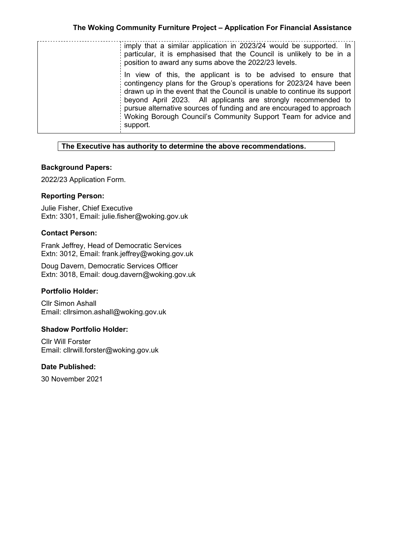| imply that a similar application in 2023/24 would be supported. In<br>particular, it is emphasised that the Council is unlikely to be in a<br>position to award any sums above the 2022/23 levels.                                                                                                                                                                                                                                      |
|-----------------------------------------------------------------------------------------------------------------------------------------------------------------------------------------------------------------------------------------------------------------------------------------------------------------------------------------------------------------------------------------------------------------------------------------|
| In view of this, the applicant is to be advised to ensure that<br>contingency plans for the Group's operations for 2023/24 have been<br>drawn up in the event that the Council is unable to continue its support<br>beyond April 2023. All applicants are strongly recommended to<br>pursue alternative sources of funding and are encouraged to approach<br>Woking Borough Council's Community Support Team for advice and<br>support. |

# **The Executive has authority to determine the above recommendations.**

# **Background Papers:**

2022/23 Application Form.

# **Reporting Person:**

Julie Fisher, Chief Executive Extn: 3301, Email: julie.fisher@woking.gov.uk

## **Contact Person:**

Frank Jeffrey, Head of Democratic Services Extn: 3012, Email: frank.jeffrey@woking.gov.uk

Doug Davern, Democratic Services Officer Extn: 3018, Email: doug.davern@woking.gov.uk

## **Portfolio Holder:**

Cllr Simon Ashall Email: cllrsimon.ashall@woking.gov.uk

## **Shadow Portfolio Holder:**

Cllr Will Forster Email: cllrwill.forster@woking.gov.uk

## **Date Published:**

30 November 2021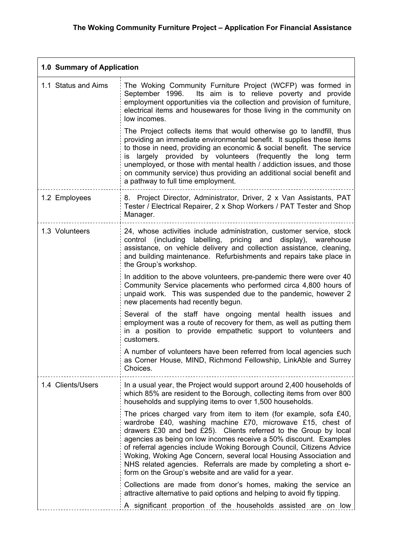| 1.0 Summary of Application |                                                                                                                                                                                                                                                                                                                                                                                                                                                                                                                                                     |
|----------------------------|-----------------------------------------------------------------------------------------------------------------------------------------------------------------------------------------------------------------------------------------------------------------------------------------------------------------------------------------------------------------------------------------------------------------------------------------------------------------------------------------------------------------------------------------------------|
| 1.1 Status and Aims        | The Woking Community Furniture Project (WCFP) was formed in<br>September 1996. Its aim is to relieve poverty and provide<br>employment opportunities via the collection and provision of furniture,<br>electrical items and housewares for those living in the community on<br>low incomes.                                                                                                                                                                                                                                                         |
|                            | The Project collects items that would otherwise go to landfill, thus<br>providing an immediate environmental benefit. It supplies these items<br>to those in need, providing an economic & social benefit. The service<br>largely provided by volunteers (frequently the long term<br>IS<br>unemployed, or those with mental health / addiction issues, and those<br>on community service) thus providing an additional social benefit and<br>a pathway to full time employment.                                                                    |
| 1.2 Employees              | 8. Project Director, Administrator, Driver, 2 x Van Assistants, PAT<br>Tester / Electrical Repairer, 2 x Shop Workers / PAT Tester and Shop<br>Manager.                                                                                                                                                                                                                                                                                                                                                                                             |
| 1.3 Volunteers             | 24, whose activities include administration, customer service, stock<br>pricing and display), warehouse<br>(including labelling,<br>control<br>assistance, on vehicle delivery and collection assistance, cleaning,<br>and building maintenance. Refurbishments and repairs take place in<br>the Group's workshop.                                                                                                                                                                                                                                  |
|                            | In addition to the above volunteers, pre-pandemic there were over 40<br>Community Service placements who performed circa 4,800 hours of<br>unpaid work. This was suspended due to the pandemic, however 2<br>new placements had recently begun.                                                                                                                                                                                                                                                                                                     |
|                            | Several of the staff have ongoing mental health issues and<br>employment was a route of recovery for them, as well as putting them<br>in a position to provide empathetic support to volunteers and<br>customers.                                                                                                                                                                                                                                                                                                                                   |
|                            | A number of volunteers have been referred from local agencies such<br>as Corner House, MIND, Richmond Fellowship, LinkAble and Surrey<br>Choices.                                                                                                                                                                                                                                                                                                                                                                                                   |
| 1.4 Clients/Users          | In a usual year, the Project would support around 2,400 households of<br>which 85% are resident to the Borough, collecting items from over 800<br>households and supplying items to over 1,500 households.                                                                                                                                                                                                                                                                                                                                          |
|                            | The prices charged vary from item to item (for example, sofa £40,<br>wardrobe £40, washing machine £70, microwave £15, chest of<br>drawers £30 and bed £25). Clients referred to the Group by local<br>agencies as being on low incomes receive a 50% discount. Examples<br>of referral agencies include Woking Borough Council, Citizens Advice<br>Woking, Woking Age Concern, several local Housing Association and<br>NHS related agencies. Referrals are made by completing a short e-<br>form on the Group's website and are valid for a year. |
|                            | Collections are made from donor's homes, making the service an<br>attractive alternative to paid options and helping to avoid fly tipping.                                                                                                                                                                                                                                                                                                                                                                                                          |
|                            | A significant proportion of the households assisted are on low                                                                                                                                                                                                                                                                                                                                                                                                                                                                                      |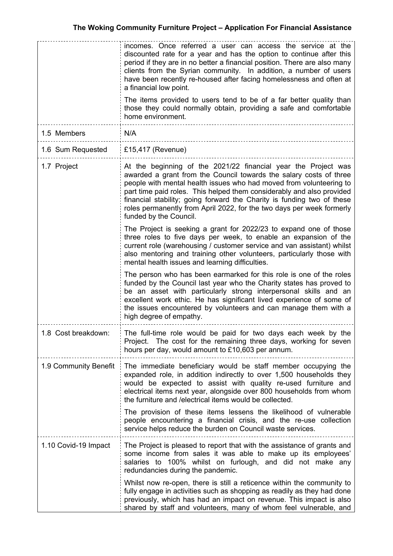|                       | incomes. Once referred a user can access the service at the<br>discounted rate for a year and has the option to continue after this<br>period if they are in no better a financial position. There are also many<br>clients from the Syrian community. In addition, a number of users<br>have been recently re-housed after facing homelessness and often at<br>a financial low point.                                                                            |
|-----------------------|-------------------------------------------------------------------------------------------------------------------------------------------------------------------------------------------------------------------------------------------------------------------------------------------------------------------------------------------------------------------------------------------------------------------------------------------------------------------|
|                       | The items provided to users tend to be of a far better quality than<br>those they could normally obtain, providing a safe and comfortable<br>home environment.                                                                                                                                                                                                                                                                                                    |
| 1.5 Members           | N/A                                                                                                                                                                                                                                                                                                                                                                                                                                                               |
| 1.6 Sum Requested     | £15,417 (Revenue)                                                                                                                                                                                                                                                                                                                                                                                                                                                 |
| 1.7 Project           | At the beginning of the 2021/22 financial year the Project was<br>awarded a grant from the Council towards the salary costs of three<br>people with mental health issues who had moved from volunteering to<br>part time paid roles. This helped them considerably and also provided<br>financial stability; going forward the Charity is funding two of these<br>roles permanently from April 2022, for the two days per week formerly<br>funded by the Council. |
|                       | The Project is seeking a grant for 2022/23 to expand one of those<br>three roles to five days per week, to enable an expansion of the<br>current role (warehousing / customer service and van assistant) whilst<br>also mentoring and training other volunteers, particularly those with<br>mental health issues and learning difficulties.                                                                                                                       |
|                       | The person who has been earmarked for this role is one of the roles<br>funded by the Council last year who the Charity states has proved to<br>be an asset with particularly strong interpersonal skills and an<br>excellent work ethic. He has significant lived experience of some of<br>the issues encountered by volunteers and can manage them with a<br>high degree of empathy.                                                                             |
| 1.8 Cost breakdown:   | The full-time role would be paid for two days each week by the<br>Project. The cost for the remaining three days, working for seven<br>hours per day, would amount to £10,603 per annum.                                                                                                                                                                                                                                                                          |
| 1.9 Community Benefit | The immediate beneficiary would be staff member occupying the<br>expanded role, in addition indirectly to over 1,500 households they<br>would be expected to assist with quality re-used furniture and<br>electrical items next year, alongside over 800 households from whom<br>the furniture and /electrical items would be collected.                                                                                                                          |
|                       | The provision of these items lessens the likelihood of vulnerable<br>people encountering a financial crisis, and the re-use collection<br>service helps reduce the burden on Council waste services.                                                                                                                                                                                                                                                              |
| 1.10 Covid-19 Impact  | The Project is pleased to report that with the assistance of grants and<br>some income from sales it was able to make up its employees'<br>salaries to 100% whilst on furlough, and did not make any<br>redundancies during the pandemic.                                                                                                                                                                                                                         |
|                       | Whilst now re-open, there is still a reticence within the community to<br>fully engage in activities such as shopping as readily as they had done<br>previously, which has had an impact on revenue. This impact is also<br>shared by staff and volunteers, many of whom feel vulnerable, and                                                                                                                                                                     |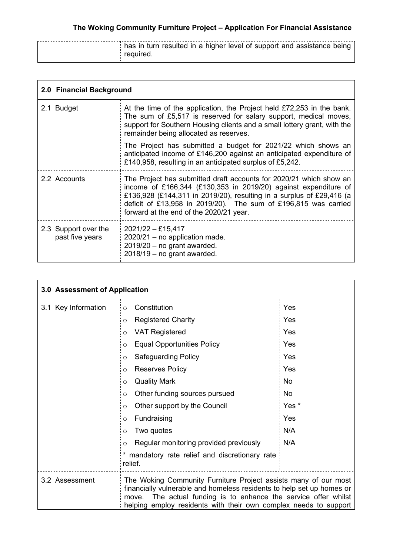| has in turn resulted in a higher level of support and assistance being |
|------------------------------------------------------------------------|
| required.                                                              |

| 2.0 Financial Background                |                                                                                                                                                                                                                                                                                                                             |
|-----------------------------------------|-----------------------------------------------------------------------------------------------------------------------------------------------------------------------------------------------------------------------------------------------------------------------------------------------------------------------------|
| 2.1 Budget                              | At the time of the application, the Project held £72,253 in the bank.<br>The sum of £5,517 is reserved for salary support, medical moves,<br>support for Southern Housing clients and a small lottery grant, with the<br>remainder being allocated as reserves.                                                             |
|                                         | The Project has submitted a budget for 2021/22 which shows an<br>anticipated income of £146,200 against an anticipated expenditure of<br>£140,958, resulting in an anticipated surplus of £5,242.                                                                                                                           |
| 2.2 Accounts                            | The Project has submitted draft accounts for 2020/21 which show an<br>income of £166,344 (£130,353 in 2019/20) against expenditure of<br>£136,928 (£144,311 in 2019/20), resulting in a surplus of £29,416 (a<br>deficit of £13,958 in 2019/20). The sum of £196,815 was carried<br>forward at the end of the 2020/21 year. |
| 2.3 Support over the<br>past five years | $2021/22 - £15,417$<br>2020/21 - no application made.<br>$2019/20$ – no grant awarded.<br>2018/19 - no grant awarded.                                                                                                                                                                                                       |

| 3.0 Assessment of Application |                                                                                                                                                                                                                                                                                    |                  |
|-------------------------------|------------------------------------------------------------------------------------------------------------------------------------------------------------------------------------------------------------------------------------------------------------------------------------|------------------|
| 3.1 Key Information           | Constitution<br>$\circ$                                                                                                                                                                                                                                                            | Yes              |
|                               | <b>Registered Charity</b><br>O                                                                                                                                                                                                                                                     | Yes              |
|                               | <b>VAT Registered</b><br>O                                                                                                                                                                                                                                                         | Yes              |
|                               | <b>Equal Opportunities Policy</b><br>O                                                                                                                                                                                                                                             | Yes              |
|                               | Safeguarding Policy<br>O                                                                                                                                                                                                                                                           | Yes              |
|                               | <b>Reserves Policy</b><br>O                                                                                                                                                                                                                                                        | Yes              |
|                               | <b>Quality Mark</b><br>O                                                                                                                                                                                                                                                           | No               |
|                               | Other funding sources pursued<br>O                                                                                                                                                                                                                                                 | <b>No</b>        |
|                               | Other support by the Council<br>$\circ$                                                                                                                                                                                                                                            | Yes <sup>*</sup> |
|                               | Fundraising<br>O                                                                                                                                                                                                                                                                   | Yes              |
|                               | Two quotes<br>$\circ$                                                                                                                                                                                                                                                              | N/A              |
|                               | Regular monitoring provided previously<br>$\circ$                                                                                                                                                                                                                                  | N/A              |
|                               | * mandatory rate relief and discretionary rate<br>relief.                                                                                                                                                                                                                          |                  |
| 3.2 Assessment                | The Woking Community Furniture Project assists many of our most<br>financially vulnerable and homeless residents to help set up homes or<br>The actual funding is to enhance the service offer whilst<br>move.<br>helping employ residents with their own complex needs to support |                  |